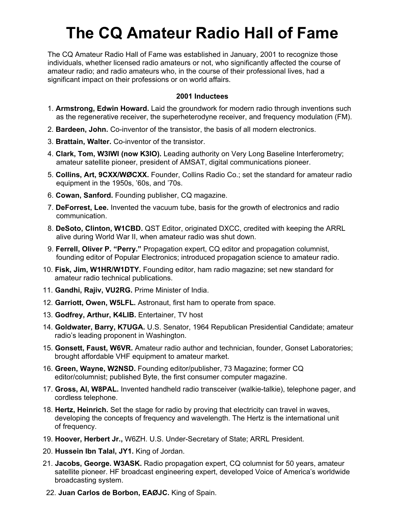# **The CQ Amateur Radio Hall of Fame**

The CQ Amateur Radio Hall of Fame was established in January, 2001 to recognize those individuals, whether licensed radio amateurs or not, who significantly affected the course of amateur radio; and radio amateurs who, in the course of their professional lives, had a significant impact on their professions or on world affairs.

- 1. **Armstrong, Edwin Howard.** Laid the groundwork for modern radio through inventions such as the regenerative receiver, the superheterodyne receiver, and frequency modulation (FM).
- 2. **Bardeen, John.** Co-inventor of the transistor, the basis of all modern electronics.
- 3. **Brattain, Walter.** Co-inventor of the transistor.
- 4. **Clark, Tom, W3IWI (now K3IO).** Leading authority on Very Long Baseline Interferometry; amateur satellite pioneer, president of AMSAT, digital communications pioneer.
- 5. **Collins, Art, 9CXX/WØCXX.** Founder, Collins Radio Co.; set the standard for amateur radio equipment in the 1950s, '60s, and '70s.
- 6. **Cowan, Sanford.** Founding publisher, CQ magazine.
- 7. **DeForrest, Lee.** Invented the vacuum tube, basis for the growth of electronics and radio communication.
- 8. **DeSoto, Clinton, W1CBD.** QST Editor, originated DXCC, credited with keeping the ARRL alive during World War II, when amateur radio was shut down.
- 9. **Ferrell, Oliver P. "Perry."** Propagation expert, CQ editor and propagation columnist, founding editor of Popular Electronics; introduced propagation science to amateur radio.
- 10. **Fisk, Jim, W1HR/W1DTY.** Founding editor, ham radio magazine; set new standard for amateur radio technical publications.
- 11. **Gandhi, Rajiv, VU2RG.** Prime Minister of India.
- 12. **Garriott, Owen, W5LFL.** Astronaut, first ham to operate from space.
- 13. **Godfrey, Arthur, K4LIB.** Entertainer, TV host
- 14. **Goldwater, Barry, K7UGA.** U.S. Senator, 1964 Republican Presidential Candidate; amateur radio's leading proponent in Washington.
- 15. **Gonsett, Faust, W6VR.** Amateur radio author and technician, founder, Gonset Laboratories; brought affordable VHF equipment to amateur market.
- 16. **Green, Wayne, W2NSD.** Founding editor/publisher, 73 Magazine; former CQ editor/columnist; published Byte, the first consumer computer magazine.
- 17. **Gross, Al, W8PAL.** Invented handheld radio transceiver (walkie-talkie), telephone pager, and cordless telephone.
- 18. **Hertz, Heinrich.** Set the stage for radio by proving that electricity can travel in waves, developing the concepts of frequency and wavelength. The Hertz is the international unit of frequency.
- 19. **Hoover, Herbert Jr.,** W6ZH. U.S. Under-Secretary of State; ARRL President.
- 20. **Hussein Ibn Talal, JY1.** King of Jordan.
- 21. **Jacobs, George. W3ASK.** Radio propagation expert, CQ columnist for 50 years, amateur satellite pioneer. HF broadcast engineering expert, developed Voice of America's worldwide broadcasting system.
- 22. **Juan Carlos de Borbon, EAØJC.** King of Spain.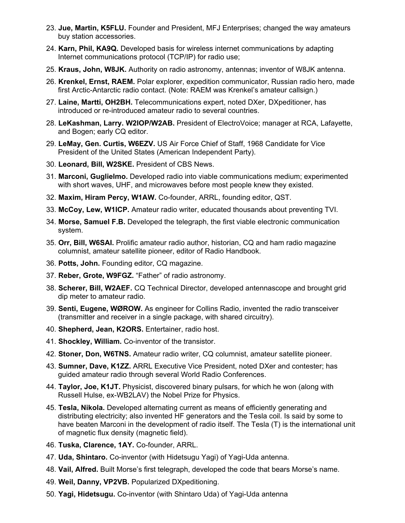- 23. **Jue, Martin, K5FLU.** Founder and President, MFJ Enterprises; changed the way amateurs buy station accessories.
- 24. **Karn, Phil, KA9Q.** Developed basis for wireless internet communications by adapting Internet communications protocol (TCP/IP) for radio use;
- 25. **Kraus, John, W8JK.** Authority on radio astronomy, antennas; inventor of W8JK antenna.
- 26. **Krenkel, Ernst, RAEM.** Polar explorer, expedition communicator, Russian radio hero, made first Arctic-Antarctic radio contact. (Note: RAEM was Krenkel's amateur callsign.)
- 27. **Laine, Martti, OH2BH.** Telecommunications expert, noted DXer, DXpeditioner, has introduced or re-introduced amateur radio to several countries.
- 28. **LeKashman, Larry. W2IOP/W2AB.** President of ElectroVoice; manager at RCA, Lafayette, and Bogen; early CQ editor.
- 29. **LeMay, Gen. Curtis, W6EZV.** US Air Force Chief of Staff, 1968 Candidate for Vice President of the United States (American Independent Party).
- 30. **Leonard, Bill, W2SKE.** President of CBS News.
- 31. **Marconi, Guglielmo.** Developed radio into viable communications medium; experimented with short waves, UHF, and microwaves before most people knew they existed.
- 32. **Maxim, Hiram Percy, W1AW.** Co-founder, ARRL, founding editor, QST.
- 33. **McCoy, Lew, W1ICP.** Amateur radio writer, educated thousands about preventing TVI.
- 34. **Morse, Samuel F.B.** Developed the telegraph, the first viable electronic communication system.
- 35. **Orr, Bill, W6SAI.** Prolific amateur radio author, historian, CQ and ham radio magazine columnist, amateur satellite pioneer, editor of Radio Handbook.
- 36. **Potts, John.** Founding editor, CQ magazine.
- 37. **Reber, Grote, W9FGZ.** "Father" of radio astronomy.
- 38. **Scherer, Bill, W2AEF.** CQ Technical Director, developed antennascope and brought grid dip meter to amateur radio.
- 39. **Senti, Eugene, WØROW.** As engineer for Collins Radio, invented the radio transceiver (transmitter and receiver in a single package, with shared circuitry).
- 40. **Shepherd, Jean, K2ORS.** Entertainer, radio host.
- 41. **Shockley, William.** Co-inventor of the transistor.
- 42. **Stoner, Don, W6TNS.** Amateur radio writer, CQ columnist, amateur satellite pioneer.
- 43. **Sumner, Dave, K1ZZ.** ARRL Executive Vice President, noted DXer and contester; has guided amateur radio through several World Radio Conferences.
- 44. **Taylor, Joe, K1JT.** Physicist, discovered binary pulsars, for which he won (along with Russell Hulse, ex-WB2LAV) the Nobel Prize for Physics.
- 45. **Tesla, Nikola.** Developed alternating current as means of efficiently generating and distributing electricity; also invented HF generators and the Tesla coil. Is said by some to have beaten Marconi in the development of radio itself. The Tesla (T) is the international unit of magnetic flux density (magnetic field).
- 46. **Tuska, Clarence, 1AY.** Co-founder, ARRL.
- 47. **Uda, Shintaro.** Co-inventor (with Hidetsugu Yagi) of Yagi-Uda antenna.
- 48. **Vail, Alfred.** Built Morse's first telegraph, developed the code that bears Morse's name.
- 49. **Weil, Danny, VP2VB.** Popularized DXpeditioning.
- 50. **Yagi, Hidetsugu.** Co-inventor (with Shintaro Uda) of Yagi-Uda antenna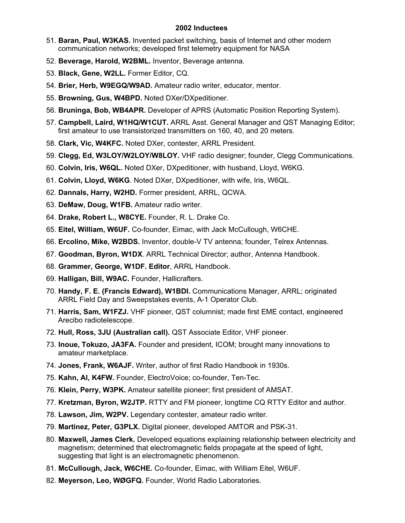- 51. **Baran, Paul, W3KAS.** Invented packet switching, basis of Internet and other modern communication networks; developed first telemetry equipment for NASA
- 52. **Beverage, Harold, W2BML.** Inventor, Beverage antenna.
- 53. **Black, Gene, W2LL.** Former Editor, CQ.
- 54. **Brier, Herb, W9EGQ/W9AD.** Amateur radio writer, educator, mentor.
- 55. **Browning, Gus, W4BPD.** Noted DXer/DXpeditioner.
- 56. **Bruninga, Bob, WB4APR.** Developer of APRS (Automatic Position Reporting System).
- 57. **Campbell, Laird, W1HQ/W1CUT.** ARRL Asst. General Manager and QST Managing Editor; first amateur to use transistorized transmitters on 160, 40, and 20 meters.
- 58. **Clark, Vic, W4KFC.** Noted DXer, contester, ARRL President.
- 59. **Clegg, Ed, W3LOY/W2LOY/W8LOY.** VHF radio designer; founder, Clegg Communications.
- 60. **Colvin, Iris, W6QL.** Noted DXer, DXpeditioner, with husband, Lloyd, W6KG.
- 61. **Colvin, Lloyd, W6KG**. Noted DXer, DXpeditioner, with wife, Iris, W6QL.
- 62. **Dannals, Harry, W2HD.** Former president, ARRL, QCWA.
- 63. **DeMaw, Doug, W1FB.** Amateur radio writer.
- 64. **Drake, Robert L., W8CYE.** Founder, R. L. Drake Co.
- 65. **Eitel, William, W6UF.** Co-founder, Eimac, with Jack McCullough, W6CHE.
- 66. **Ercolino, Mike, W2BDS.** Inventor, double-V TV antenna; founder, Telrex Antennas.
- 67. **Goodman, Byron, W1DX**. ARRL Technical Director; author, Antenna Handbook.
- 68. **Grammer, George, W1DF. Editor**, ARRL Handbook.
- 69. **Halligan, Bill, W9AC.** Founder, Hallicrafters.
- 70. **Handy, F. E. (Francis Edward), W1BDI.** Communications Manager, ARRL; originated ARRL Field Day and Sweepstakes events, A-1 Operator Club.
- 71. **Harris, Sam, W1FZJ.** VHF pioneer, QST columnist; made first EME contact, engineered Arecibo radiotelescope.
- 72. **Hull, Ross, 3JU (Australian call).** QST Associate Editor, VHF pioneer.
- 73. **Inoue, Tokuzo, JA3FA.** Founder and president, ICOM; brought many innovations to amateur marketplace.
- 74. **Jones, Frank, W6AJF.** Writer, author of first Radio Handbook in 1930s.
- 75. **Kahn, Al, K4FW.** Founder, ElectroVoice; co-founder, Ten-Tec.
- 76. **Klein, Perry, W3PK.** Amateur satellite pioneer; first president of AMSAT.
- 77. **Kretzman, Byron, W2JTP.** RTTY and FM pioneer, longtime CQ RTTY Editor and author.
- 78. **Lawson, Jim, W2PV.** Legendary contester, amateur radio writer.
- 79. **Martinez, Peter, G3PLX.** Digital pioneer, developed AMTOR and PSK-31.
- 80. **Maxwell, James Clerk.** Developed equations explaining relationship between electricity and magnetism; determined that electromagnetic fields propagate at the speed of light, suggesting that light is an electromagnetic phenomenon.
- 81. **McCullough, Jack, W6CHE.** Co-founder, Eimac, with William Eitel, W6UF.
- 82. **Meyerson, Leo, WØGFQ.** Founder, World Radio Laboratories.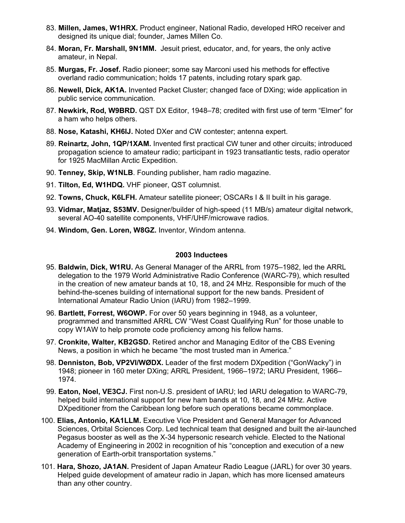- 83. **Millen, James, W1HRX.** Product engineer, National Radio, developed HRO receiver and designed its unique dial; founder, James Millen Co.
- 84. **Moran, Fr. Marshall, 9N1MM.** Jesuit priest, educator, and, for years, the only active amateur, in Nepal.
- 85. **Murgas, Fr. Josef.** Radio pioneer; some say Marconi used his methods for effective overland radio communication; holds 17 patents, including rotary spark gap.
- 86. **Newell, Dick, AK1A.** Invented Packet Cluster; changed face of DXing; wide application in public service communication.
- 87. **Newkirk, Rod, W9BRD.** QST DX Editor, 1948–78; credited with first use of term "Elmer" for a ham who helps others.
- 88. **Nose, Katashi, KH6IJ.** Noted DXer and CW contester; antenna expert.
- 89. **Reinartz, John, 1QP/1XAM.** Invented first practical CW tuner and other circuits; introduced propagation science to amateur radio; participant in 1923 transatlantic tests, radio operator for 1925 MacMillan Arctic Expedition.
- 90. **Tenney, Skip, W1NLB**. Founding publisher, ham radio magazine.
- 91. **Tilton, Ed, W1HDQ.** VHF pioneer, QST columnist.
- 92. **Towns, Chuck, K6LFH.** Amateur satellite pioneer; OSCARs I & II built in his garage.
- 93. **Vidmar, Matjaz, S53MV.** Designer/builder of high-speed (11 MB/s) amateur digital network, several AO-40 satellite components, VHF/UHF/microwave radios.
- 94. **Windom, Gen. Loren, W8GZ.** Inventor, Windom antenna.

- 95. **Baldwin, Dick, W1RU.** As General Manager of the ARRL from 1975–1982, led the ARRL delegation to the 1979 World Administrative Radio Conference (WARC-79), which resulted in the creation of new amateur bands at 10, 18, and 24 MHz. Responsible for much of the behind-the-scenes building of international support for the new bands. President of International Amateur Radio Union (IARU) from 1982–1999.
- 96. **Bartlett, Forrest, W6OWP.** For over 50 years beginning in 1948, as a volunteer, programmed and transmitted ARRL CW "West Coast Qualifying Run" for those unable to copy W1AW to help promote code proficiency among his fellow hams.
- 97. **Cronkite, Walter, KB2GSD.** Retired anchor and Managing Editor of the CBS Evening News, a position in which he became "the most trusted man in America."
- 98. **Denniston, Bob, VP2VI/WØDX.** Leader of the first modern DXpedition ("GonWacky") in 1948; pioneer in 160 meter DXing; ARRL President, 1966–1972; IARU President, 1966– 1974.
- 99. **Eaton, Noel, VE3CJ.** First non-U.S. president of IARU; led IARU delegation to WARC-79, helped build international support for new ham bands at 10, 18, and 24 MHz. Active DXpeditioner from the Caribbean long before such operations became commonplace.
- 100. **Elias, Antonio, KA1LLM.** Executive Vice President and General Manager for Advanced Sciences, Orbital Sciences Corp. Led technical team that designed and built the air-launched Pegasus booster as well as the X-34 hypersonic research vehicle. Elected to the National Academy of Engineering in 2002 in recognition of his "conception and execution of a new generation of Earth-orbit transportation systems."
- 101. **Hara, Shozo, JA1AN.** President of Japan Amateur Radio League (JARL) for over 30 years. Helped guide development of amateur radio in Japan, which has more licensed amateurs than any other country.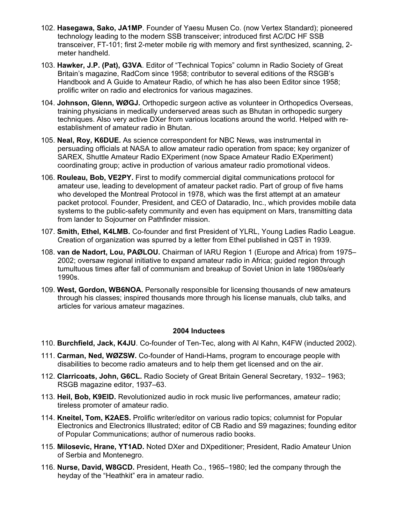- 102. **Hasegawa, Sako, JA1MP**. Founder of Yaesu Musen Co. (now Vertex Standard); pioneered technology leading to the modern SSB transceiver; introduced first AC/DC HF SSB transceiver, FT-101; first 2-meter mobile rig with memory and first synthesized, scanning, 2 meter handheld.
- 103. **Hawker, J.P. (Pat), G3VA**. Editor of "Technical Topics" column in Radio Society of Great Britain's magazine, RadCom since 1958; contributor to several editions of the RSGB's Handbook and A Guide to Amateur Radio, of which he has also been Editor since 1958; prolific writer on radio and electronics for various magazines.
- 104. **Johnson, Glenn, WØGJ.** Orthopedic surgeon active as volunteer in Orthopedics Overseas, training physicians in medically underserved areas such as Bhutan in orthopedic surgery techniques. Also very active DXer from various locations around the world. Helped with reestablishment of amateur radio in Bhutan.
- 105. **Neal, Roy, K6DUE.** As science correspondent for NBC News, was instrumental in persuading officials at NASA to allow amateur radio operation from space; key organizer of SAREX, Shuttle Amateur Radio EXperiment (now Space Amateur Radio EXperiment) coordinating group; active in production of various amateur radio promotional videos.
- 106. **Rouleau, Bob, VE2PY.** First to modify commercial digital communications protocol for amateur use, leading to development of amateur packet radio. Part of group of five hams who developed the Montreal Protocol in 1978, which was the first attempt at an amateur packet protocol. Founder, President, and CEO of Dataradio, Inc., which provides mobile data systems to the public-safety community and even has equipment on Mars, transmitting data from lander to Sojourner on Pathfinder mission.
- 107. **Smith, Ethel, K4LMB.** Co-founder and first President of YLRL, Young Ladies Radio League. Creation of organization was spurred by a letter from Ethel published in QST in 1939.
- 108. **van de Nadort, Lou, PAØLOU.** Chairman of IARU Region 1 (Europe and Africa) from 1975– 2002; oversaw regional initiative to expand amateur radio in Africa; guided region through tumultuous times after fall of communism and breakup of Soviet Union in late 1980s/early 1990s.
- 109. **West, Gordon, WB6NOA.** Personally responsible for licensing thousands of new amateurs through his classes; inspired thousands more through his license manuals, club talks, and articles for various amateur magazines.

- 110. **Burchfield, Jack, K4JU**. Co-founder of Ten-Tec, along with Al Kahn, K4FW (inducted 2002).
- 111. **Carman, Ned, WØZSW.** Co-founder of Handi-Hams, program to encourage people with disabilities to become radio amateurs and to help them get licensed and on the air.
- 112. **Clarricoats, John, G6CL.** Radio Society of Great Britain General Secretary, 1932– 1963; RSGB magazine editor, 1937–63.
- 113. **Heil, Bob, K9EID.** Revolutionized audio in rock music live performances, amateur radio; tireless promoter of amateur radio.
- 114. **Kneitel, Tom, K2AES.** Prolific writer/editor on various radio topics; columnist for Popular Electronics and Electronics Illustrated; editor of CB Radio and S9 magazines; founding editor of Popular Communications; author of numerous radio books.
- 115. **Milosevic, Hrane, YT1AD.** Noted DXer and DXpeditioner; President, Radio Amateur Union of Serbia and Montenegro.
- 116. **Nurse, David, W8GCD.** President, Heath Co., 1965–1980; led the company through the heyday of the "Heathkit" era in amateur radio.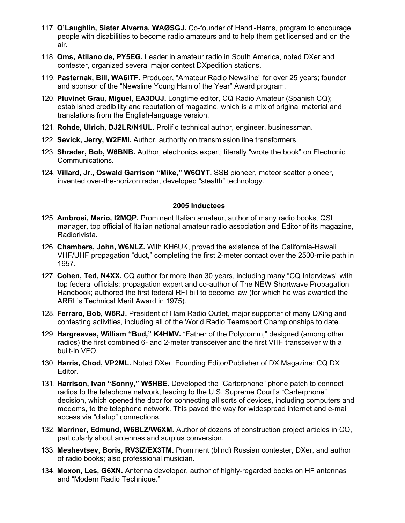- 117. **O'Laughlin, Sister Alverna, WAØSGJ.** Co-founder of Handi-Hams, program to encourage people with disabilities to become radio amateurs and to help them get licensed and on the air.
- 118. **Oms, Atilano de, PY5EG.** Leader in amateur radio in South America, noted DXer and contester, organized several major contest DXpedition stations.
- 119. **Pasternak, Bill, WA6ITF.** Producer, "Amateur Radio Newsline" for over 25 years; founder and sponsor of the "Newsline Young Ham of the Year" Award program.
- 120. **Pluvinet Grau, Miguel, EA3DUJ.** Longtime editor, CQ Radio Amateur (Spanish CQ); established credibility and reputation of magazine, which is a mix of original material and translations from the English-language version.
- 121. **Rohde, Ulrich, DJ2LR/N1UL.** Prolific technical author, engineer, businessman.
- 122. **Sevick, Jerry, W2FMI.** Author, authority on transmission line transformers.
- 123. **Shrader, Bob, W6BNB.** Author, electronics expert; literally "wrote the book" on Electronic Communications.
- 124. **Villard, Jr., Oswald Garrison "Mike," W6QYT.** SSB pioneer, meteor scatter pioneer, invented over-the-horizon radar, developed "stealth" technology.

- 125. **Ambrosi, Mario, I2MQP.** Prominent Italian amateur, author of many radio books, QSL manager, top official of Italian national amateur radio association and Editor of its magazine, Radiorivista.
- 126. **Chambers, John, W6NLZ.** With KH6UK, proved the existence of the California-Hawaii VHF/UHF propagation "duct," completing the first 2-meter contact over the 2500-mile path in 1957.
- 127. **Cohen, Ted, N4XX.** CQ author for more than 30 years, including many "CQ Interviews" with top federal officials; propagation expert and co-author of The NEW Shortwave Propagation Handbook; authored the first federal RFI bill to become law (for which he was awarded the ARRL's Technical Merit Award in 1975).
- 128. **Ferraro, Bob, W6RJ.** President of Ham Radio Outlet, major supporter of many DXing and contesting activities, including all of the World Radio Teamsport Championships to date.
- 129. **Hargreaves, William "Bud," K4HMV.** "Father of the Polycomm," designed (among other radios) the first combined 6- and 2-meter transceiver and the first VHF transceiver with a built-in VFO.
- 130. **Harris, Chod, VP2ML.** Noted DXer, Founding Editor/Publisher of DX Magazine; CQ DX Editor.
- 131. **Harrison, Ivan "Sonny," W5HBE.** Developed the "Carterphone" phone patch to connect radios to the telephone network, leading to the U.S. Supreme Court's "Carterphone" decision, which opened the door for connecting all sorts of devices, including computers and modems, to the telephone network. This paved the way for widespread internet and e-mail access via "dialup" connections.
- 132. **Marriner, Edmund, W6BLZ/W6XM.** Author of dozens of construction project articles in CQ, particularly about antennas and surplus conversion.
- 133. **Meshevtsev, Boris, RV3IZ/EX3TM.** Prominent (blind) Russian contester, DXer, and author of radio books; also professional musician.
- 134. **Moxon, Les, G6XN.** Antenna developer, author of highly-regarded books on HF antennas and "Modern Radio Technique."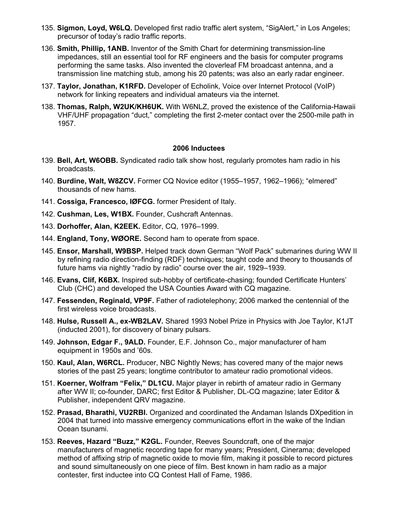- 135. **Sigmon, Loyd, W6LQ.** Developed first radio traffic alert system, "SigAlert," in Los Angeles; precursor of today's radio traffic reports.
- 136. **Smith, Phillip, 1ANB.** Inventor of the Smith Chart for determining transmission-line impedances, still an essential tool for RF engineers and the basis for computer programs performing the same tasks. Also invented the cloverleaf FM broadcast antenna, and a transmission line matching stub, among his 20 patents; was also an early radar engineer.
- 137. **Taylor, Jonathan, K1RFD.** Developer of Echolink, Voice over Internet Protocol (VoIP) network for linking repeaters and individual amateurs via the internet.
- 138. **Thomas, Ralph, W2UK/KH6UK.** With W6NLZ, proved the existence of the California-Hawaii VHF/UHF propagation "duct," completing the first 2-meter contact over the 2500-mile path in 1957.

- 139. **Bell, Art, W6OBB.** Syndicated radio talk show host, regularly promotes ham radio in his broadcasts.
- 140. **Burdine, Walt, W8ZCV.** Former CQ Novice editor (1955–1957, 1962–1966); "elmered" thousands of new hams.
- 141. **Cossiga, Francesco, IØFCG.** former President of Italy.
- 142. **Cushman, Les, W1BX.** Founder, Cushcraft Antennas.
- 143. **Dorhoffer, Alan, K2EEK.** Editor, CQ, 1976–1999.
- 144. **England, Tony, WØORE.** Second ham to operate from space.
- 145. **Ensor, Marshall, W9BSP.** Helped track down German "Wolf Pack" submarines during WW II by refining radio direction-finding (RDF) techniques; taught code and theory to thousands of future hams via nightly "radio by radio" course over the air, 1929–1939.
- 146. **Evans, Clif, K6BX.** Inspired sub-hobby of certificate-chasing; founded Certificate Hunters' Club (CHC) and developed the USA Counties Award with CQ magazine.
- 147. **Fessenden, Reginald, VP9F.** Father of radiotelephony; 2006 marked the centennial of the first wireless voice broadcasts.
- 148. **Hulse, Russell A., ex-WB2LAV.** Shared 1993 Nobel Prize in Physics with Joe Taylor, K1JT (inducted 2001), for discovery of binary pulsars.
- 149. **Johnson, Edgar F., 9ALD.** Founder, E.F. Johnson Co., major manufacturer of ham equipment in 1950s and '60s.
- 150. **Kaul, Alan, W6RCL.** Producer, NBC Nightly News; has covered many of the major news stories of the past 25 years; longtime contributor to amateur radio promotional videos.
- 151. **Koerner, Wolfram "Felix," DL1CU.** Major player in rebirth of amateur radio in Germany after WW II; co-founder, DARC; first Editor & Publisher, DL-CQ magazine; later Editor & Publisher, independent QRV magazine.
- 152. **Prasad, Bharathi, VU2RBI.** Organized and coordinated the Andaman Islands DXpedition in 2004 that turned into massive emergency communications effort in the wake of the Indian Ocean tsunami.
- 153. **Reeves, Hazard "Buzz," K2GL.** Founder, Reeves Soundcraft, one of the major manufacturers of magnetic recording tape for many years; President, Cinerama; developed method of affixing strip of magnetic oxide to movie film, making it possible to record pictures and sound simultaneously on one piece of film. Best known in ham radio as a major contester, first inductee into CQ Contest Hall of Fame, 1986.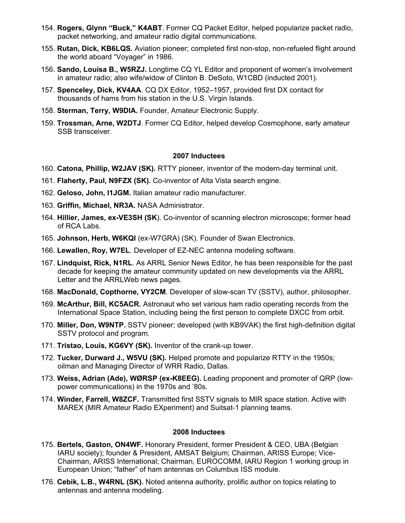- 154. **Rogers, Glynn "Buck," K4ABT**. Former CQ Packet Editor, helped popularize packet radio, packet networking, and amateur radio digital communications.
- 155. **Rutan, Dick, KB6LQS.** Aviation pioneer; completed first non-stop, non-refueled flight around the world aboard "Voyager" in 1986.
- 156. **Sando, Louisa B., W5RZJ.** Longtime CQ YL Editor and proponent of women's involvement in amateur radio; also wife/widow of Clinton B. DeSoto, W1CBD (inducted 2001).
- 157. **Spenceley, Dick, KV4AA**. CQ DX Editor, 1952–1957, provided first DX contact for thousands of hams from his station in the U.S. Virgin Islands.
- 158. **Sterman, Terry, W9DIA.** Founder, Amateur Electronic Supply.
- 159. **Trossman, Arne, W2DTJ**. Former CQ Editor, helped develop Cosmophone, early amateur SSB transceiver.

- 160. **Catona, Phillip, W2JAV (SK).** RTTY pioneer, inventor of the modern-day terminal unit.
- 161. **Flaherty, Paul, N9FZX (SK).** Co-inventor of Alta Vista search engine.
- 162. **Geloso, John, I1JGM.** Italian amateur radio manufacturer.
- 163. **Griffin, Michael, NR3A.** NASA Administrator.
- 164. **Hillier, James, ex-VE3SH (SK**). Co-inventor of scanning electron microscope; former head of RCA Labs.
- 165. **Johnson, Herb, W6KQI** (ex-W7GRA) (SK). Founder of Swan Electronics.
- 166. **Lewallen, Roy, W7EL**. Developer of EZ-NEC antenna modeling software.
- 167. **Lindquist, Rick, N1RL**. As ARRL Senior News Editor, he has been responsible for the past decade for keeping the amateur community updated on new developments via the ARRL Letter and the ARRLWeb news pages.
- 168. **MacDonald, Copthorne, VY2CM**. Developer of slow-scan TV (SSTV), author, philosopher.
- 169. **McArthur, Bill, KC5ACR.** Astronaut who set various ham radio operating records from the International Space Station, including being the first person to complete DXCC from orbit.
- 170. **Miller, Don, W9NTP.** SSTV pioneer; developed (with KB9VAK) the first high-definition digital SSTV protocol and program.
- 171. **Tristao, Louis, KG6VY (SK).** Inventor of the crank-up tower.
- 172. **Tucker, Durward J., W5VU (SK).** Helped promote and popularize RTTY in the 1950s; oilman and Managing Director of WRR Radio, Dallas.
- 173. **Weiss, Adrian (Ade), WØRSP (ex-K8EEG).** Leading proponent and promoter of QRP (lowpower communications) in the 1970s and '80s.
- 174. **Winder, Farrell, W8ZCF.** Transmitted first SSTV signals to MIR space station. Active with MAREX (MIR Amateur Radio EXperiment) and Suitsat-1 planning teams.

- 175. **Bertels, Gaston, ON4WF.** Honorary President, former President & CEO, UBA (Belgian IARU society); founder & President, AMSAT Belgium; Chairman, ARISS Europe; Vice-Chairman, ARISS International; Chairman, EUROCOMM, IARU Region 1 working group in European Union; "father" of ham antennas on Columbus ISS module.
- 176. **Cebik, L.B., W4RNL (SK).** Noted antenna authority, prolific author on topics relating to antennas and antenna modeling.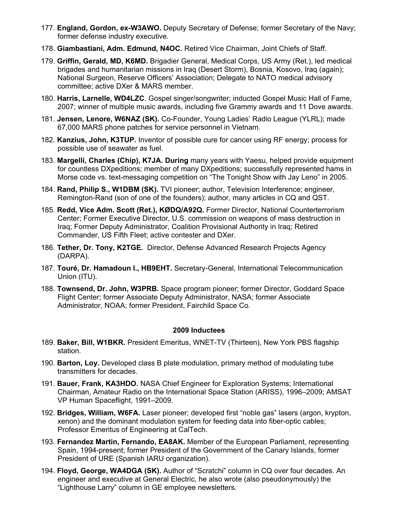- 177. **England, Gordon, ex-W3AWO.** Deputy Secretary of Defense; former Secretary of the Navy; former defense industry executive.
- 178. **Giambastiani, Adm. Edmund, N4OC.** Retired Vice Chairman, Joint Chiefs of Staff.
- 179. **Griffin, Gerald, MD, K6MD.** Brigadier General, Medical Corps, US Army (Ret.), led medical brigades and humanitarian missions in Iraq (Desert Storm), Bosnia, Kosovo, Iraq (again); National Surgeon, Reserve Officers' Association; Delegate to NATO medical advisory committee; active DXer & MARS member.
- 180. **Harris, Larnelle, WD4LZC**. Gospel singer/songwriter; inducted Gospel Music Hall of Fame, 2007; winner of multiple music awards, including five Grammy awards and 11 Dove awards.
- 181. **Jensen, Lenore, W6NAZ (SK).** Co-Founder, Young Ladies' Radio League (YLRL); made 67,000 MARS phone patches for service personnel in Vietnam.
- 182. **Kanzius, John, K3TUP.** Inventor of possible cure for cancer using RF energy; process for possible use of seawater as fuel.
- 183. **Margelli, Charles (Chip), K7JA. During** many years with Yaesu, helped provide equipment for countless DXpeditions; member of many DXpeditions; successfully represented hams in Morse code vs. text-messaging competition on "The Tonight Show with Jay Leno" in 2005.
- 184. **Rand, Philip S., W1DBM (SK).** TVI pioneer; author, Television Interference; engineer, Remington-Rand (son of one of the founders); author, many articles in CQ and QST.
- 185. **Redd, Vice Adm. Scott (Ret.), KØDQ/A92Q.** Former Director, National Counterterrorism Center; Former Executive Director, U.S. commission on weapons of mass destruction in Iraq; Former Deputy Administrator, Coalition Provisional Authority in Iraq; Retired Commander, US Fifth Fleet; active contester and DXer.
- 186. **Tether, Dr. Tony, K2TGE.** Director, Defense Advanced Research Projects Agency (DARPA).
- 187. **Touré, Dr. Hamadoun I., HB9EHT.** Secretary-General, International Telecommunication Union (ITU).
- 188. **Townsend, Dr. John, W3PRB.** Space program pioneer; former Director, Goddard Space Flight Center; former Associate Deputy Administrator, NASA; former Associate Administrator, NOAA; former President, Fairchild Space Co.

- 189. **Baker, Bill, W1BKR.** President Emeritus, WNET-TV (Thirteen), New York PBS flagship station.
- 190. **Barton, Loy.** Developed class B plate modulation, primary method of modulating tube transmitters for decades.
- 191. **Bauer, Frank, KA3HDO.** NASA Chief Engineer for Exploration Systems; International Chairman, Amateur Radio on the International Space Station (ARISS), 1996–2009; AMSAT VP Human Spaceflight, 1991–2009.
- 192. **Bridges, William, W6FA.** Laser pioneer; developed first "noble gas" lasers (argon, krypton, xenon) and the dominant modulation system for feeding data into fiber-optic cables; Professor Emeritus of Engineering at CalTech.
- 193. **Fernandez Martin, Fernando, EA8AK.** Member of the European Parliament, representing Spain, 1994-present; former President of the Government of the Canary Islands, former President of URE (Spanish IARU organization).
- 194. **Floyd, George, WA4DGA (SK).** Author of "Scratchi" column in CQ over four decades. An engineer and executive at General Electric, he also wrote (also pseudonymously) the "Lighthouse Larry" column in GE employee newsletters.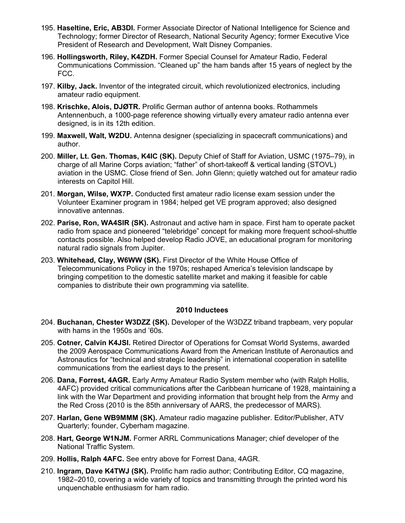- 195. **Haseltine, Eric, AB3DI.** Former Associate Director of National Intelligence for Science and Technology; former Director of Research, National Security Agency; former Executive Vice President of Research and Development, Walt Disney Companies.
- 196. **Hollingsworth, Riley, K4ZDH.** Former Special Counsel for Amateur Radio, Federal Communications Commission. "Cleaned up" the ham bands after 15 years of neglect by the FCC.
- 197. **Kilby, Jack.** Inventor of the integrated circuit, which revolutionized electronics, including amateur radio equipment.
- 198. **Krischke, Alois, DJØTR.** Prolific German author of antenna books. Rothammels Antennenbuch, a 1000-page reference showing virtually every amateur radio antenna ever designed, is in its 12th edition.
- 199. **Maxwell, Walt, W2DU.** Antenna designer (specializing in spacecraft communications) and author.
- 200. **Miller, Lt. Gen. Thomas, K4IC (SK).** Deputy Chief of Staff for Aviation, USMC (1975–79), in charge of all Marine Corps aviation; "father" of short-takeoff & vertical landing (STOVL) aviation in the USMC. Close friend of Sen. John Glenn; quietly watched out for amateur radio interests on Capitol Hill.
- 201. **Morgan, Wilse, WX7P.** Conducted first amateur radio license exam session under the Volunteer Examiner program in 1984; helped get VE program approved; also designed innovative antennas.
- 202. **Parise, Ron, WA4SIR (SK).** Astronaut and active ham in space. First ham to operate packet radio from space and pioneered "telebridge" concept for making more frequent school-shuttle contacts possible. Also helped develop Radio JOVE, an educational program for monitoring natural radio signals from Jupiter.
- 203. **Whitehead, Clay, W6WW (SK).** First Director of the White House Office of Telecommunications Policy in the 1970s; reshaped America's television landscape by bringing competition to the domestic satellite market and making it feasible for cable companies to distribute their own programming via satellite.

- 204. **Buchanan, Chester W3DZZ (SK).** Developer of the W3DZZ triband trapbeam, very popular with hams in the 1950s and '60s.
- 205. **Cotner, Calvin K4JSI.** Retired Director of Operations for Comsat World Systems, awarded the 2009 Aerospace Communications Award from the American Institute of Aeronautics and Astronautics for "technical and strategic leadership" in international cooperation in satellite communications from the earliest days to the present.
- 206. **Dana, Forrest, 4AGR.** Early Army Amateur Radio System member who (with Ralph Hollis, 4AFC) provided critical communications after the Caribbean hurricane of 1928, maintaining a link with the War Department and providing information that brought help from the Army and the Red Cross (2010 is the 85th anniversary of AARS, the predecessor of MARS).
- 207. **Harlan, Gene WB9MMM (SK).** Amateur radio magazine publisher. Editor/Publisher, ATV Quarterly; founder, Cyberham magazine.
- 208. **Hart, George W1NJM.** Former ARRL Communications Manager; chief developer of the National Traffic System.
- 209. **Hollis, Ralph 4AFC.** See entry above for Forrest Dana, 4AGR.
- 210. **Ingram, Dave K4TWJ (SK).** Prolific ham radio author; Contributing Editor, CQ magazine, 1982–2010, covering a wide variety of topics and transmitting through the printed word his unquenchable enthusiasm for ham radio.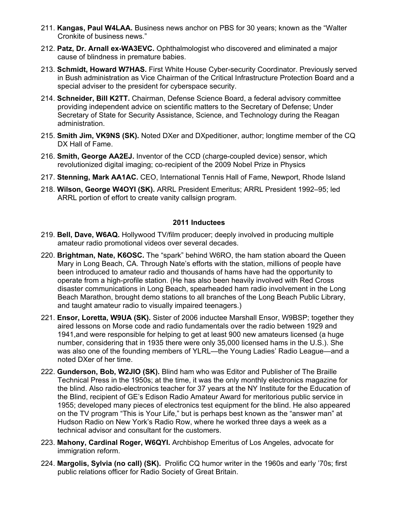- 211. **Kangas, Paul W4LAA.** Business news anchor on PBS for 30 years; known as the "Walter Cronkite of business news."
- 212. **Patz, Dr. Arnall ex-WA3EVC.** Ophthalmologist who discovered and eliminated a major cause of blindness in premature babies.
- 213. **Schmidt, Howard W7HAS.** First White House Cyber-security Coordinator. Previously served in Bush administration as Vice Chairman of the Critical Infrastructure Protection Board and a special adviser to the president for cyberspace security.
- 214. **Schneider, Bill K2TT.** Chairman, Defense Science Board, a federal advisory committee providing independent advice on scientific matters to the Secretary of Defense; Under Secretary of State for Security Assistance, Science, and Technology during the Reagan administration.
- 215. **Smith Jim, VK9NS (SK).** Noted DXer and DXpeditioner, author; longtime member of the CQ DX Hall of Fame.
- 216. **Smith, George AA2EJ.** Inventor of the CCD (charge-coupled device) sensor, which revolutionized digital imaging; co-recipient of the 2009 Nobel Prize in Physics
- 217. **Stenning, Mark AA1AC.** CEO, International Tennis Hall of Fame, Newport, Rhode Island
- 218. **Wilson, George W4OYI (SK).** ARRL President Emeritus; ARRL President 1992–95; led ARRL portion of effort to create vanity callsign program.

- 219. **Bell, Dave, W6AQ.** Hollywood TV/film producer; deeply involved in producing multiple amateur radio promotional videos over several decades.
- 220. **Brightman, Nate, K6OSC.** The "spark" behind W6RO, the ham station aboard the Queen Mary in Long Beach, CA. Through Nate's efforts with the station, millions of people have been introduced to amateur radio and thousands of hams have had the opportunity to operate from a high-profile station. (He has also been heavily involved with Red Cross disaster communications in Long Beach, spearheaded ham radio involvement in the Long Beach Marathon, brought demo stations to all branches of the Long Beach Public Library, and taught amateur radio to visually impaired teenagers.)
- 221. **Ensor, Loretta, W9UA (SK).** Sister of 2006 inductee Marshall Ensor, W9BSP; together they aired lessons on Morse code and radio fundamentals over the radio between 1929 and 1941,and were responsible for helping to get at least 900 new amateurs licensed (a huge number, considering that in 1935 there were only 35,000 licensed hams in the U.S.). She was also one of the founding members of YLRL—the Young Ladies' Radio League—and a noted DXer of her time.
- 222. **Gunderson, Bob, W2JIO (SK).** Blind ham who was Editor and Publisher of The Braille Technical Press in the 1950s; at the time, it was the only monthly electronics magazine for the blind. Also radio-electronics teacher for 37 years at the NY Institute for the Education of the Blind, recipient of GE's Edison Radio Amateur Award for meritorious public service in 1955; developed many pieces of electronics test equipment for the blind. He also appeared on the TV program "This is Your Life," but is perhaps best known as the "answer man" at Hudson Radio on New York's Radio Row, where he worked three days a week as a technical advisor and consultant for the customers.
- 223. **Mahony, Cardinal Roger, W6QYI.** Archbishop Emeritus of Los Angeles, advocate for immigration reform.
- 224. **Margolis, Sylvia (no call) (SK).** Prolific CQ humor writer in the 1960s and early '70s; first public relations officer for Radio Society of Great Britain.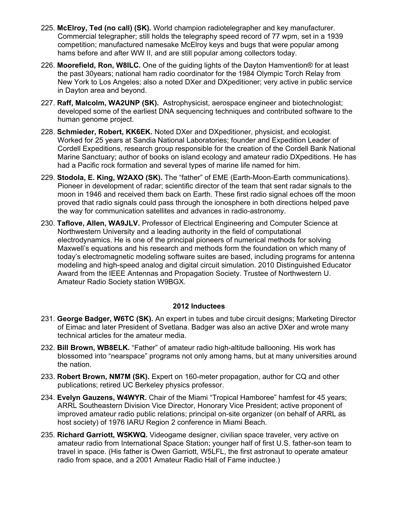- 225. **McElroy, Ted (no call) (SK).** World champion radiotelegrapher and key manufacturer. Commercial telegrapher; still holds the telegraphy speed record of 77 wpm, set in a 1939 competition; manufactured namesake McElroy keys and bugs that were popular among hams before and after WW II, and are still popular among collectors today.
- 226. **Moorefield, Ron, W8ILC.** One of the guiding lights of the Dayton Hamvention® for at least the past 30years; national ham radio coordinator for the 1984 Olympic Torch Relay from New York to Los Angeles; also a noted DXer and DXpeditioner; very active in public service in Dayton area and beyond.
- 227. **Raff, Malcolm, WA2UNP (SK).** Astrophysicist, aerospace engineer and biotechnologist; developed some of the earliest DNA sequencing techniques and contributed software to the human genome project.
- 228. **Schmieder, Robert, KK6EK.** Noted DXer and DXpeditioner, physicist, and ecologist. Worked for 25 years at Sandia National Laboratories; founder and Expedition Leader of Cordell Expeditions, research group responsible for the creation of the Cordell Bank National Marine Sanctuary; author of books on island ecology and amateur radio DXpeditions. He has had a Pacific rock formation and several types of marine life named for him.
- 229. **Stodola, E. King, W2AXO (SK).** The "father" of EME (Earth-Moon-Earth communications). Pioneer in development of radar; scientific director of the team that sent radar signals to the moon in 1946 and received them back on Earth. These first radio signal echoes off the moon proved that radio signals could pass through the ionosphere in both directions helped pave the way for communication satellites and advances in radio-astronomy.
- 230. **Taflove, Allen, WA9JLV.** Professor of Electrical Engineering and Computer Science at Northwestern University and a leading authority in the field of computational electrodynamics. He is one of the principal pioneers of numerical methods for solving Maxwell's equations and his research and methods form the foundation on which many of today's electromagnetic modeling software suites are based, including programs for antenna modeling and high-speed analog and digital circuit simulation. 2010 Distinguished Educator Award from the IEEE Antennas and Propagation Society. Trustee of Northwestern U. Amateur Radio Society station W9BGX.

- 231. **George Badger, W6TC (SK).** An expert in tubes and tube circuit designs; Marketing Director of Eimac and later President of Svetlana. Badger was also an active DXer and wrote many technical articles for the amateur media.
- 232. **Bill Brown, WB8ELK.** "Father" of amateur radio high-altitude ballooning. His work has blossomed into "nearspace" programs not only among hams, but at many universities around the nation.
- 233. **Robert Brown, NM7M (SK).** Expert on 160-meter propagation, author for CQ and other publications; retired UC Berkeley physics professor.
- 234. **Evelyn Gauzens, W4WYR.** Chair of the Miami "Tropical Hamboree" hamfest for 45 years; ARRL Southeastern Division Vice Director, Honorary Vice President; active proponent of improved amateur radio public relations; principal on-site organizer (on behalf of ARRL as host society) of 1976 IARU Region 2 conference in Miami Beach.
- 235. **Richard Garriott, W5KWQ.** Videogame designer, civilian space traveler, very active on amateur radio from International Space Station; younger half of first U.S. father-son team to travel in space. (His father is Owen Garriott, W5LFL, the first astronaut to operate amateur radio from space, and a 2001 Amateur Radio Hall of Fame inductee.)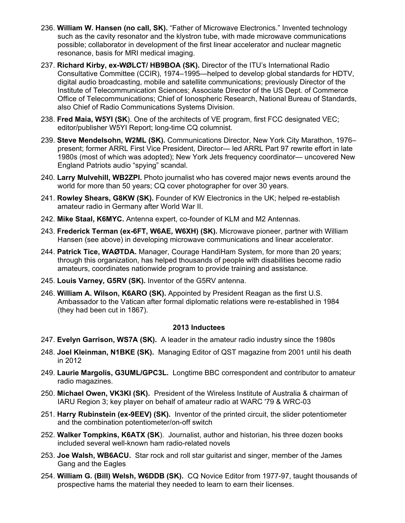- 236. **William W. Hansen (no call, SK).** "Father of Microwave Electronics." Invented technology such as the cavity resonator and the klystron tube, with made microwave communications possible; collaborator in development of the first linear accelerator and nuclear magnetic resonance, basis for MRI medical imaging.
- 237. **Richard Kirby, ex-WØLCT/ HB9BOA (SK).** Director of the ITU's International Radio Consultative Committee (CCIR), 1974–1995—helped to develop global standards for HDTV, digital audio broadcasting, mobile and satellite communications; previously Director of the Institute of Telecommunication Sciences; Associate Director of the US Dept. of Commerce Office of Telecommunications; Chief of Ionospheric Research, National Bureau of Standards, also Chief of Radio Communications Systems Division.
- 238. **Fred Maia, W5YI (SK**). One of the architects of VE program, first FCC designated VEC; editor/publisher W5YI Report; long-time CQ columnist.
- 239. **Steve Mendelsohn, W2ML (SK).** Communications Director, New York City Marathon, 1976– present; former ARRL First Vice President, Director— led ARRL Part 97 rewrite effort in late 1980s (most of which was adopted); New York Jets frequency coordinator— uncovered New England Patriots audio "spying" scandal.
- 240. **Larry Mulvehill, WB2ZPI.** Photo journalist who has covered major news events around the world for more than 50 years; CQ cover photographer for over 30 years.
- 241. **Rowley Shears, G8KW (SK).** Founder of KW Electronics in the UK; helped re-establish amateur radio in Germany after World War II.
- 242. **Mike Staal, K6MYC.** Antenna expert, co-founder of KLM and M2 Antennas.
- 243. **Frederick Terman (ex-6FT, W6AE, W6XH) (SK).** Microwave pioneer, partner with William Hansen (see above) in developing microwave communications and linear accelerator.
- 244. **Patrick Tice, WAØTDA.** Manager, Courage HandiHam System, for more than 20 years; through this organization, has helped thousands of people with disabilities become radio amateurs, coordinates nationwide program to provide training and assistance.
- 245. **Louis Varney, G5RV (SK).** Inventor of the G5RV antenna.
- 246. **William A. Wilson, K6ARO (SK).** Appointed by President Reagan as the first U.S. Ambassador to the Vatican after formal diplomatic relations were re-established in 1984 (they had been cut in 1867).

- 247. **Evelyn Garrison, WS7A (SK).** A leader in the amateur radio industry since the 1980s
- 248. **Joel Kleinman, N1BKE (SK).** Managing Editor of QST magazine from 2001 until his death in 2012
- 249. **Laurie Margolis, G3UML/GPC3L.** Longtime BBC correspondent and contributor to amateur radio magazines.
- 250. **Michael Owen, VK3KI (SK).** President of the Wireless Institute of Australia & chairman of IARU Region 3; key player on behalf of amateur radio at WARC '79 & WRC-03
- 251. **Harry Rubinstein (ex-9EEV) (SK).** Inventor of the printed circuit, the slider potentiometer and the combination potentiometer/on-off switch
- 252. **Walker Tompkins, K6ATX (SK**). Journalist, author and historian, his three dozen books included several well-known ham radio-related novels
- 253. **Joe Walsh, WB6ACU.** Star rock and roll star guitarist and singer, member of the James Gang and the Eagles
- 254. **William G. (Bill) Welsh, W6DDB (SK).** CQ Novice Editor from 1977-97, taught thousands of prospective hams the material they needed to learn to earn their licenses.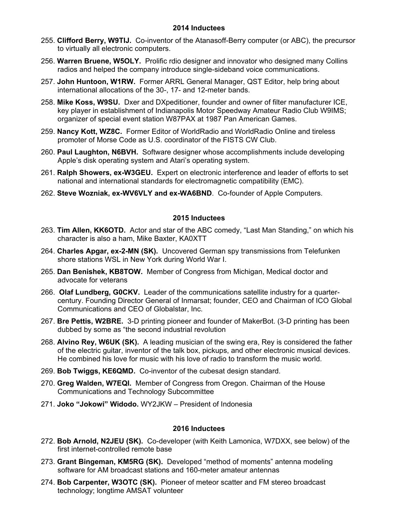- 255. **Clifford Berry, W9TIJ.** Co-inventor of the Atanasoff-Berry computer (or ABC), the precursor to virtually all electronic computers.
- 256. **Warren Bruene, W5OLY.** Prolific rdio designer and innovator who designed many Collins radios and helped the company introduce single-sideband voice communications.
- 257. **John Huntoon, W1RW.** Former ARRL General Manager, QST Editor, help bring about international allocations of the 30-, 17- and 12-meter bands.
- 258. **Mike Koss, W9SU.** Dxer and DXpeditioner, founder and owner of filter manufacturer ICE, key player in establishment of Indianapolis Motor Speedway Amateur Radio Club W9IMS; organizer of special event station W87PAX at 1987 Pan American Games.
- 259. **Nancy Kott, WZ8C.** Former Editor of WorldRadio and WorldRadio Online and tireless promoter of Morse Code as U.S. coordinator of the FISTS CW Club.
- 260. **Paul Laughton, N6BVH.** Software designer whose accomplishments include developing Apple's disk operating system and Atari's operating system.
- 261. **Ralph Showers, ex-W3GEU.** Expert on electronic interference and leader of efforts to set national and international standards for electromagnetic compatibility (EMC).
- 262. **Steve Wozniak, ex-WV6VLY and ex-WA6BND**. Co-founder of Apple Computers.

## **2015 Inductees**

- 263. **Tim Allen, KK6OTD.** Actor and star of the ABC comedy, "Last Man Standing," on which his character is also a ham, Mike Baxter, KA0XTT
- 264. **Charles Apgar, ex-2-MN (SK).** Uncovered German spy transmissions from Telefunken shore stations WSL in New York during World War I.
- 265. **Dan Benishek, KB8TOW.** Member of Congress from Michigan, Medical doctor and advocate for veterans
- 266. **Olaf Lundberg, G0CKV.** Leader of the communications satellite industry for a quartercentury. Founding Director General of Inmarsat; founder, CEO and Chairman of ICO Global Communications and CEO of Globalstar, Inc.
- 267. **Bre Pettis, W2BRE.** 3-D printing pioneer and founder of MakerBot. (3-D printing has been dubbed by some as "the second industrial revolution
- 268. **Alvino Rey, W6UK (SK).** A leading musician of the swing era, Rey is considered the father of the electric guitar, inventor of the talk box, pickups, and other electronic musical devices. He combined his love for music with his love of radio to transform the music world.
- 269. **Bob Twiggs, KE6QMD.** Co-inventor of the cubesat design standard.
- 270. **Greg Walden, W7EQI.** Member of Congress from Oregon. Chairman of the House Communications and Technology Subcommittee
- 271. **Joko "Jokowi" Widodo.** WY2JKW President of Indonesia

- 272. **Bob Arnold, N2JEU (SK).** Co-developer (with Keith Lamonica, W7DXX, see below) of the first internet-controlled remote base
- 273. **Grant Bingeman, KM5RG (SK).** Developed "method of moments" antenna modeling software for AM broadcast stations and 160-meter amateur antennas
- 274. **Bob Carpenter, W3OTC (SK).** Pioneer of meteor scatter and FM stereo broadcast technology; longtime AMSAT volunteer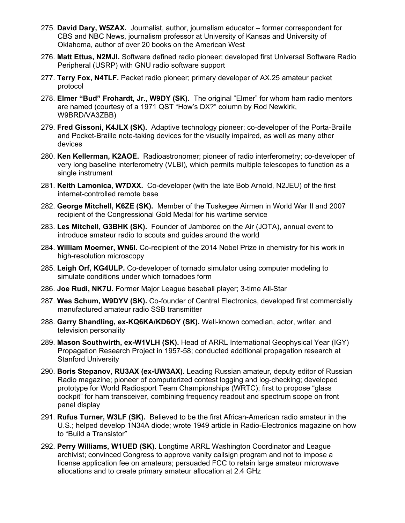- 275. **David Dary, W5ZAX.** Journalist, author, journalism educator former correspondent for CBS and NBC News, journalism professor at University of Kansas and University of Oklahoma, author of over 20 books on the American West
- 276. **Matt Ettus, N2MJI.** Software defined radio pioneer; developed first Universal Software Radio Peripheral (USRP) with GNU radio software support
- 277. **Terry Fox, N4TLF.** Packet radio pioneer; primary developer of AX.25 amateur packet protocol
- 278. **Elmer "Bud" Frohardt, Jr., W9DY (SK).** The original "Elmer" for whom ham radio mentors are named (courtesy of a 1971 QST "How's DX?" column by Rod Newkirk, W9BRD/VA3ZBB)
- 279. **Fred Gissoni, K4JLX (SK).** Adaptive technology pioneer; co-developer of the Porta-Braille and Pocket-Braille note-taking devices for the visually impaired, as well as many other devices
- 280. **Ken Kellerman, K2AOE.** Radioastronomer; pioneer of radio interferometry; co-developer of very long baseline interferometry (VLBI), which permits multiple telescopes to function as a single instrument
- 281. **Keith Lamonica, W7DXX.** Co-developer (with the late Bob Arnold, N2JEU) of the first internet-controlled remote base
- 282. **George Mitchell, K6ZE (SK).** Member of the Tuskegee Airmen in World War II and 2007 recipient of the Congressional Gold Medal for his wartime service
- 283. **Les Mitchell, G3BHK (SK).** Founder of Jamboree on the Air (JOTA), annual event to introduce amateur radio to scouts and guides around the world
- 284. **William Moerner, WN6I.** Co-recipient of the 2014 Nobel Prize in chemistry for his work in high-resolution microscopy
- 285. **Leigh Orf, KG4ULP.** Co-developer of tornado simulator using computer modeling to simulate conditions under which tornadoes form
- 286. **Joe Rudi, NK7U.** Former Major League baseball player; 3-time All-Star
- 287. **Wes Schum, W9DYV (SK).** Co-founder of Central Electronics, developed first commercially manufactured amateur radio SSB transmitter
- 288. **Garry Shandling, ex-KQ6KA/KD6OY (SK).** Well-known comedian, actor, writer, and television personality
- 289. **Mason Southwirth, ex-W1VLH (SK).** Head of ARRL International Geophysical Year (IGY) Propagation Research Project in 1957-58; conducted additional propagation research at Stanford University
- 290. **Boris Stepanov, RU3AX (ex-UW3AX).** Leading Russian amateur, deputy editor of Russian Radio magazine; pioneer of computerized contest logging and log-checking; developed prototype for World Radiosport Team Championships (WRTC); first to propose "glass cockpit" for ham transceiver, combining frequency readout and spectrum scope on front panel display
- 291. **Rufus Turner, W3LF (SK).** Believed to be the first African-American radio amateur in the U.S.; helped develop 1N34A diode; wrote 1949 article in Radio-Electronics magazine on how to "Build a Transistor"
- 292. **Perry Williams, W1UED (SK).** Longtime ARRL Washington Coordinator and League archivist; convinced Congress to approve vanity callsign program and not to impose a license application fee on amateurs; persuaded FCC to retain large amateur microwave allocations and to create primary amateur allocation at 2.4 GHz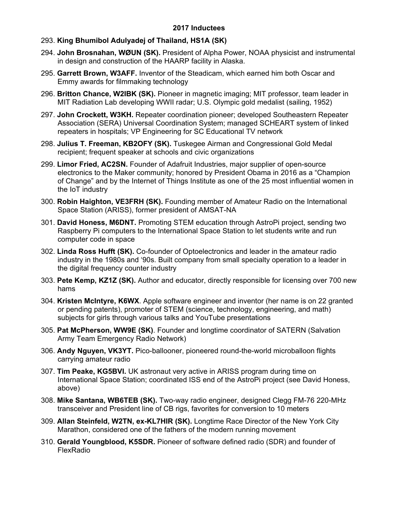# 293. **King Bhumibol Adulyadej of Thailand, HS1A (SK)**

- 294. **John Brosnahan, WØUN (SK).** President of Alpha Power, NOAA physicist and instrumental in design and construction of the HAARP facility in Alaska.
- 295. **Garrett Brown, W3AFF.** Inventor of the Steadicam, which earned him both Oscar and Emmy awards for filmmaking technology
- 296. **Britton Chance, W2IBK (SK).** Pioneer in magnetic imaging; MIT professor, team leader in MIT Radiation Lab developing WWII radar; U.S. Olympic gold medalist (sailing, 1952)
- 297. **John Crockett, W3KH.** Repeater coordination pioneer; developed Southeastern Repeater Association (SERA) Universal Coordination System; managed SCHEART system of linked repeaters in hospitals; VP Engineering for SC Educational TV network
- 298. **Julius T. Freeman, KB2OFY (SK).** Tuskegee Airman and Congressional Gold Medal recipient; frequent speaker at schools and civic organizations
- 299. **Limor Fried, AC2SN.** Founder of Adafruit Industries, major supplier of open-source electronics to the Maker community; honored by President Obama in 2016 as a "Champion of Change" and by the Internet of Things Institute as one of the 25 most influential women in the IoT industry
- 300. **Robin Haighton, VE3FRH (SK).** Founding member of Amateur Radio on the International Space Station (ARISS), former president of AMSAT-NA
- 301. **David Honess, M6DNT.** Promoting STEM education through AstroPi project, sending two Raspberry Pi computers to the International Space Station to let students write and run computer code in space
- 302. **Linda Ross Hufft (SK).** Co-founder of Optoelectronics and leader in the amateur radio industry in the 1980s and '90s. Built company from small specialty operation to a leader in the digital frequency counter industry
- 303. **Pete Kemp, KZ1Z (SK).** Author and educator, directly responsible for licensing over 700 new hams
- 304. **Kristen McIntyre, K6WX**. Apple software engineer and inventor (her name is on 22 granted or pending patents), promoter of STEM (science, technology, engineering, and math) subjects for girls through various talks and YouTube presentations
- 305. **Pat McPherson, WW9E (SK)**. Founder and longtime coordinator of SATERN (Salvation Army Team Emergency Radio Network)
- 306. **Andy Nguyen, VK3YT.** Pico-ballooner, pioneered round-the-world microballoon flights carrying amateur radio
- 307. **Tim Peake, KG5BVI.** UK astronaut very active in ARISS program during time on International Space Station; coordinated ISS end of the AstroPi project (see David Honess, above)
- 308. **Mike Santana, WB6TEB (SK).** Two-way radio engineer, designed Clegg FM-76 220-MHz transceiver and President line of CB rigs, favorites for conversion to 10 meters
- 309. **Allan Steinfeld, W2TN, ex-KL7HIR (SK).** Longtime Race Director of the New York City Marathon, considered one of the fathers of the modern running movement
- 310. **Gerald Youngblood, K5SDR.** Pioneer of software defined radio (SDR) and founder of FlexRadio